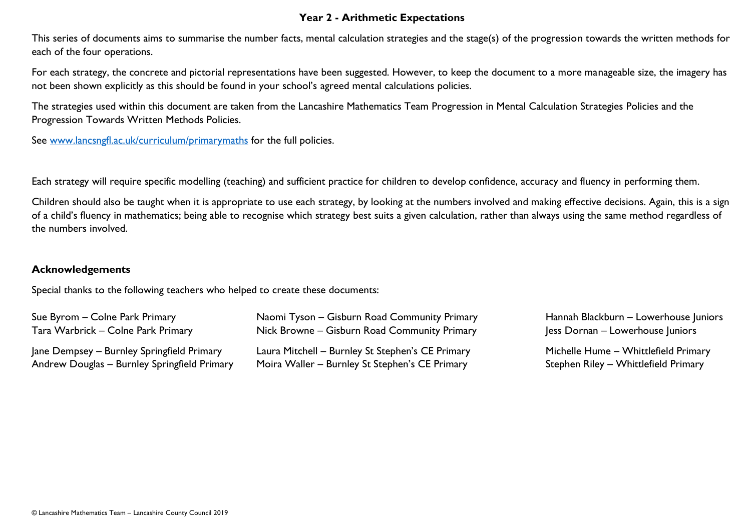## **Year 2 - Arithmetic Expectations**

This series of documents aims to summarise the number facts, mental calculation strategies and the stage(s) of the progression towards the written methods for each of the four operations.

For each strategy, the concrete and pictorial representations have been suggested. However, to keep the document to a more manageable size, the imagery has not been shown explicitly as this should be found in your school's agreed mental calculations policies.

The strategies used within this document are taken from the Lancashire Mathematics Team Progression in Mental Calculation Strategies Policies and the Progression Towards Written Methods Policies.

See [www.lancsngfl.ac.uk/curriculum/primarymaths](http://www.lancsngfl.ac.uk/curriculum/primarymaths) for the full policies.

Each strategy will require specific modelling (teaching) and sufficient practice for children to develop confidence, accuracy and fluency in performing them.

Children should also be taught when it is appropriate to use each strategy, by looking at the numbers involved and making effective decisions. Again, this is a sign of a child's fluency in mathematics; being able to recognise which strategy best suits a given calculation, rather than always using the same method regardless of the numbers involved.

## **Acknowledgements**

Special thanks to the following teachers who helped to create these documents:

| Sue Byrom – Colne Park Primary               | Naomi Tyson – Gisburn Road Community Primary     | Hannah Blackburn - Lowerhouse Juniors |
|----------------------------------------------|--------------------------------------------------|---------------------------------------|
| Tara Warbrick – Colne Park Primary           | Nick Browne – Gisburn Road Community Primary     | Jess Dornan – Lowerhouse Juniors      |
| Jane Dempsey – Burnley Springfield Primary   | Laura Mitchell - Burnley St Stephen's CE Primary | Michelle Hume - Whittlefield Primary  |
| Andrew Douglas - Burnley Springfield Primary | Moira Waller – Burnley St Stephen's CE Primary   | Stephen Riley - Whittlefield Primary  |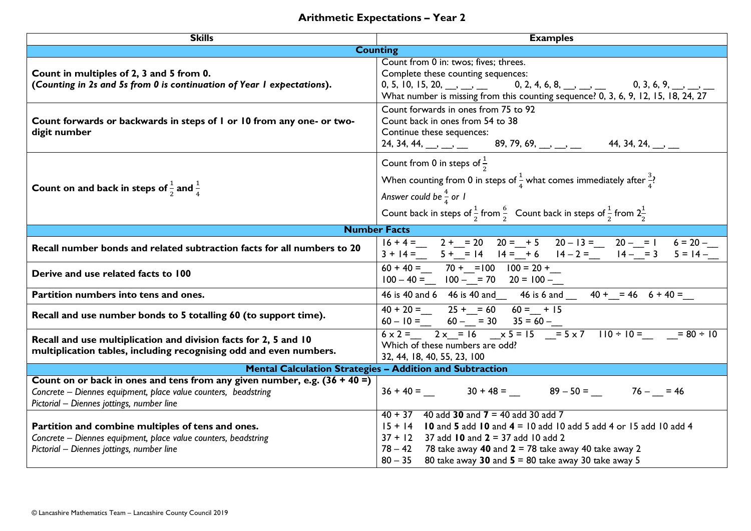## **Arithmetic Expectations – Year 2**

| <b>Skills</b>                                                                                                                                                                              | <b>Examples</b>                                                                                                                                                                                                                                                                                                                                                                                                                |  |  |  |  |
|--------------------------------------------------------------------------------------------------------------------------------------------------------------------------------------------|--------------------------------------------------------------------------------------------------------------------------------------------------------------------------------------------------------------------------------------------------------------------------------------------------------------------------------------------------------------------------------------------------------------------------------|--|--|--|--|
|                                                                                                                                                                                            | <b>Counting</b>                                                                                                                                                                                                                                                                                                                                                                                                                |  |  |  |  |
| Count in multiples of 2, 3 and 5 from 0.<br>(Counting in 2s and 5s from 0 is continuation of Year I expectations).                                                                         | Count from 0 in: twos; fives; threes.<br>Complete these counting sequences:<br>0, 2, 4, 6, 8, $\frac{1}{2}$ , $\frac{1}{2}$ , 0, 3, 6, 9, $\frac{1}{2}$ , $\frac{1}{2}$<br>0, 5, 10, 15, 20, $\frac{1}{2}$<br>What number is missing from this counting sequence? 0, 3, 6, 9, 12, 15, 18, 24, 27                                                                                                                               |  |  |  |  |
| Count forwards or backwards in steps of I or 10 from any one- or two-<br>digit number                                                                                                      | Count forwards in ones from 75 to 92<br>Count back in ones from 54 to 38<br>Continue these sequences:<br>24, 34, 44, $\frac{1}{2}$ , $\frac{1}{2}$ , $\frac{1}{2}$ , $\frac{1}{2}$ , $\frac{1}{2}$ , $\frac{1}{2}$ , $\frac{1}{2}$ , $\frac{1}{2}$ , $\frac{1}{2}$ , $\frac{1}{2}$ , $\frac{1}{2}$ , $\frac{1}{2}$ , $\frac{1}{2}$ , $\frac{1}{2}$ , $\frac{1}{2}$ , $\frac{1}{2}$ , $\frac{1}{2}$ , $\frac{1$                 |  |  |  |  |
| Count on and back in steps of $\frac{1}{2}$ and $\frac{1}{4}$                                                                                                                              | Count from 0 in steps of $\frac{1}{2}$<br>When counting from 0 in steps of $\frac{1}{4}$ what comes immediately after $\frac{3}{4}$ ?<br>Answer could be $\frac{4}{4}$ or 1<br>Count back in steps of $\frac{1}{2}$ from $\frac{6}{2}$ Count back in steps of $\frac{1}{2}$ from $2\frac{1}{2}$                                                                                                                                |  |  |  |  |
|                                                                                                                                                                                            | <b>Number Facts</b>                                                                                                                                                                                                                                                                                                                                                                                                            |  |  |  |  |
| Recall number bonds and related subtraction facts for all numbers to 20                                                                                                                    | $16 + 4 =$ 2 + = 20 20 = + 5 20 - 13 = 20 - = 1 6 = 20 -<br>3 + 14 = 5 + = 14 14 = + 6 14 - 2 = 14 - = 3 5 = 14 -                                                                                                                                                                                                                                                                                                              |  |  |  |  |
| Derive and use related facts to 100                                                                                                                                                        | $60 + 40 =$ 70 + = 100 100 = 20 +<br>$100 - 40 =$ $100  = 70$ $20 = 100 -$                                                                                                                                                                                                                                                                                                                                                     |  |  |  |  |
| Partition numbers into tens and ones.                                                                                                                                                      | 46 is 40 and 6 46 is 40 and 46 is 6 and 40 + $\frac{1}{2}$ = 46 6 + 40 =                                                                                                                                                                                                                                                                                                                                                       |  |  |  |  |
| Recall and use number bonds to 5 totalling 60 (to support time).                                                                                                                           | $40 + 20 =$ $25 + = 60$ $60 = +15$<br>$60 - 10 =$ $60  = 30$ $35 = 60 -$                                                                                                                                                                                                                                                                                                                                                       |  |  |  |  |
| Recall and use multiplication and division facts for 2, 5 and 10<br>multiplication tables, including recognising odd and even numbers.                                                     | $\frac{20}{6 \times 2} = \frac{2 \times 2}{2 \times 2} = 16$ $\frac{20}{6 \times 2} = 16$ $\frac{20}{6 \times 2} = 16$ $\frac{20}{6 \times 2} = 16$ $\frac{20}{6 \times 2} = 16$ $\frac{20}{6 \times 2} = 16$ $\frac{20}{6 \times 2} = 16$ $\frac{20}{6 \times 2} = 16$ $\frac{20}{6 \times 2} = 16$ $\frac{20}{6 \times 2} = 16$ $\frac{20}{6 \times 2} = $<br>Which of these numbers are odd?<br>32, 44, 18, 40, 55, 23, 100 |  |  |  |  |
| <b>Mental Calculation Strategies - Addition and Subtraction</b>                                                                                                                            |                                                                                                                                                                                                                                                                                                                                                                                                                                |  |  |  |  |
| Count on or back in ones and tens from any given number, e.g. $(36 + 40 =)$<br>Concrete - Diennes equipment, place value counters, beadstring<br>Pictorial - Diennes jottings, number line | $36 + 40 =$ $30 + 48 =$ $89 - 50 =$ $76  = 46$                                                                                                                                                                                                                                                                                                                                                                                 |  |  |  |  |
| Partition and combine multiples of tens and ones.<br>Concrete - Diennes equipment, place value counters, beadstring<br>Pictorial - Diennes jottings, number line                           | $40 + 37$ 40 add 30 and 7 = 40 add 30 add 7<br>$15 + 14$ <b>10</b> and <b>5</b> add <b>10</b> and $4 = 10$ add 10 add 5 add 4 or 15 add 10 add 4<br>$37 + 12$ 37 add 10 and $2 = 37$ add 10 add 2<br>$78 - 42$ 78 take away 40 and $2 = 78$ take away 40 take away 2<br>$80 - 35$ 80 take away 30 and $5 = 80$ take away 30 take away 5                                                                                        |  |  |  |  |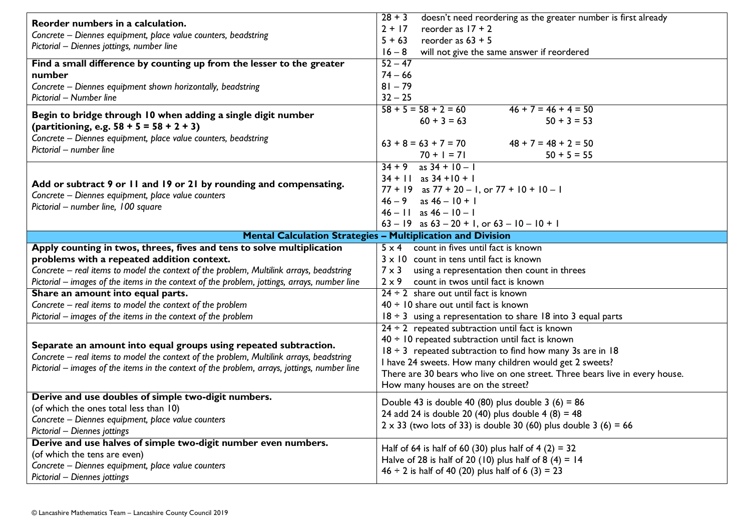| Reorder numbers in a calculation.<br>Concrete - Diennes equipment, place value counters, beadstring<br>Pictorial - Diennes jottings, number line                                                                                                            | doesn't need reordering as the greater number is first already<br>$28 + 3$<br>$2 + 17$<br>reorder as $17 + 2$<br>reorder as $63 + 5$<br>$5 + 63$<br>will not give the same answer if reordered<br>$16 - 8$                                                                                                                                                      |  |  |
|-------------------------------------------------------------------------------------------------------------------------------------------------------------------------------------------------------------------------------------------------------------|-----------------------------------------------------------------------------------------------------------------------------------------------------------------------------------------------------------------------------------------------------------------------------------------------------------------------------------------------------------------|--|--|
| Find a small difference by counting up from the lesser to the greater<br>number<br>Concrete - Diennes equipment shown horizontally, beadstring<br>Pictorial - Number line                                                                                   | $52 - 47$<br>$74 - 66$<br>$81 - 79$<br>$32 - 25$                                                                                                                                                                                                                                                                                                                |  |  |
| Begin to bridge through 10 when adding a single digit number<br>(partitioning, e.g. $58 + 5 = 58 + 2 + 3$ )<br>Concrete - Diennes equipment, place value counters, beadstring<br>Pictorial - number line                                                    | $58 + 5 = 58 + 2 = 60$<br>$46 + 7 = 46 + 4 = 50$<br>$60 + 3 = 63$<br>$50 + 3 = 53$<br>$63 + 8 = 63 + 7 = 70$<br>$48 + 7 = 48 + 2 = 50$<br>$70 + 1 = 71$<br>$50 + 5 = 55$                                                                                                                                                                                        |  |  |
| Add or subtract 9 or 11 and 19 or 21 by rounding and compensating.<br>Concrete - Diennes equipment, place value counters<br>Pictorial - number line, 100 square                                                                                             | as $34 + 10 - 1$<br>$34 + 9$<br>$34 + 11$ as $34 + 10 + 1$<br>$77 + 19$ as $77 + 20 - 1$ , or $77 + 10 + 10 - 1$<br>$46 - 9$ as $46 - 10 + 1$<br>$46 - 11$ as $46 - 10 - 1$<br>$63 - 19$ as $63 - 20 + 1$ , or $63 - 10 - 10 + 1$                                                                                                                               |  |  |
|                                                                                                                                                                                                                                                             | <b>Mental Calculation Strategies - Multiplication and Division</b>                                                                                                                                                                                                                                                                                              |  |  |
| Apply counting in twos, threes, fives and tens to solve multiplication                                                                                                                                                                                      | count in fives until fact is known<br>$5 \times 4$                                                                                                                                                                                                                                                                                                              |  |  |
| problems with a repeated addition context.                                                                                                                                                                                                                  | $3 \times 10$ count in tens until fact is known                                                                                                                                                                                                                                                                                                                 |  |  |
| Concrete – real items to model the context of the problem, Multilink arrays, beadstring                                                                                                                                                                     | using a representation then count in threes<br>$7 \times 3$                                                                                                                                                                                                                                                                                                     |  |  |
| Pictorial – images of the items in the context of the problem, jottings, arrays, number line                                                                                                                                                                | count in twos until fact is known<br>$2 \times 9$                                                                                                                                                                                                                                                                                                               |  |  |
| Share an amount into equal parts.<br>$24 \div 2$ share out until fact is known                                                                                                                                                                              |                                                                                                                                                                                                                                                                                                                                                                 |  |  |
| Concrete - real items to model the context of the problem                                                                                                                                                                                                   | $40 \div 10$ share out until fact is known                                                                                                                                                                                                                                                                                                                      |  |  |
| Pictorial – images of the items in the context of the problem                                                                                                                                                                                               | $18 \div 3$ using a representation to share 18 into 3 equal parts                                                                                                                                                                                                                                                                                               |  |  |
| Separate an amount into equal groups using repeated subtraction.<br>Concrete – real items to model the context of the problem, Multilink arrays, beadstring<br>Pictorial – images of the items in the context of the problem, arrays, jottings, number line | $24 \div 2$ repeated subtraction until fact is known<br>$40 \div 10$ repeated subtraction until fact is known<br>$18 \div 3$ repeated subtraction to find how many 3s are in 18<br>I have 24 sweets. How many children would get 2 sweets?<br>There are 30 bears who live on one street. Three bears live in every house.<br>How many houses are on the street? |  |  |
| Derive and use doubles of simple two-digit numbers.                                                                                                                                                                                                         | Double 43 is double 40 (80) plus double $3(6) = 86$                                                                                                                                                                                                                                                                                                             |  |  |
| (of which the ones total less than 10)                                                                                                                                                                                                                      | 24 add 24 is double 20 (40) plus double 4 (8) = 48                                                                                                                                                                                                                                                                                                              |  |  |
| Concrete - Diennes equipment, place value counters                                                                                                                                                                                                          | $2 \times 33$ (two lots of 33) is double 30 (60) plus double 3 (6) = 66                                                                                                                                                                                                                                                                                         |  |  |
| Pictorial - Diennes jottings                                                                                                                                                                                                                                |                                                                                                                                                                                                                                                                                                                                                                 |  |  |
| Derive and use halves of simple two-digit number even numbers.                                                                                                                                                                                              | Half of 64 is half of 60 (30) plus half of 4 (2) = 32                                                                                                                                                                                                                                                                                                           |  |  |
| (of which the tens are even)                                                                                                                                                                                                                                | Halve of 28 is half of 20 (10) plus half of 8 (4) = 14                                                                                                                                                                                                                                                                                                          |  |  |
| Concrete - Diennes equipment, place value counters                                                                                                                                                                                                          | $46 \div 2$ is half of 40 (20) plus half of 6 (3) = 23                                                                                                                                                                                                                                                                                                          |  |  |
| Pictorial - Diennes jottings                                                                                                                                                                                                                                |                                                                                                                                                                                                                                                                                                                                                                 |  |  |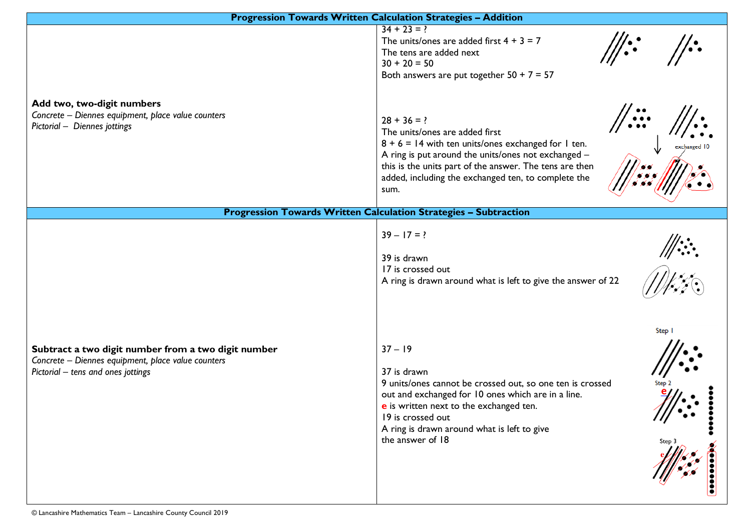| <b>Progression Towards Written Calculation Strategies - Addition</b>                                                                            |                                                                                                                                                                                                                                                                                                                     |  |  |  |
|-------------------------------------------------------------------------------------------------------------------------------------------------|---------------------------------------------------------------------------------------------------------------------------------------------------------------------------------------------------------------------------------------------------------------------------------------------------------------------|--|--|--|
|                                                                                                                                                 | $34 + 23 = ?$<br>$\frac{1}{2}$<br>The units/ones are added first $4 + 3 = 7$<br>The tens are added next<br>$30 + 20 = 50$<br>Both answers are put together $50 + 7 = 57$                                                                                                                                            |  |  |  |
| Add two, two-digit numbers<br>Concrete - Diennes equipment, place value counters<br>Pictorial - Diennes jottings                                | //.::·<br>$28 + 36 = ?$<br>The units/ones are added first<br>$8 + 6 = 14$ with ten units/ones exchanged for 1 ten.<br>exchanged 10<br>A ring is put around the units/ones not exchanged -<br>this is the units part of the answer. The tens are then<br>added, including the exchanged ten, to complete the<br>sum. |  |  |  |
|                                                                                                                                                 | <b>Progression Towards Written Calculation Strategies - Subtraction</b>                                                                                                                                                                                                                                             |  |  |  |
|                                                                                                                                                 | $39 - 17 = ?$<br>39 is drawn<br>17 is crossed out<br>A ring is drawn around what is left to give the answer of 22                                                                                                                                                                                                   |  |  |  |
| Subtract a two digit number from a two digit number<br>Concrete - Diennes equipment, place value counters<br>Pictorial - tens and ones jottings | Step 1<br>$37 - 19$<br>37 is drawn<br>9 units/ones cannot be crossed out, so one ten is crossed<br>out and exchanged for 10 ones which are in a line.<br>e is written next to the exchanged ten.<br>19 is crossed out<br>A ring is drawn around what is left to give<br>the answer of 18<br>Step 3                  |  |  |  |